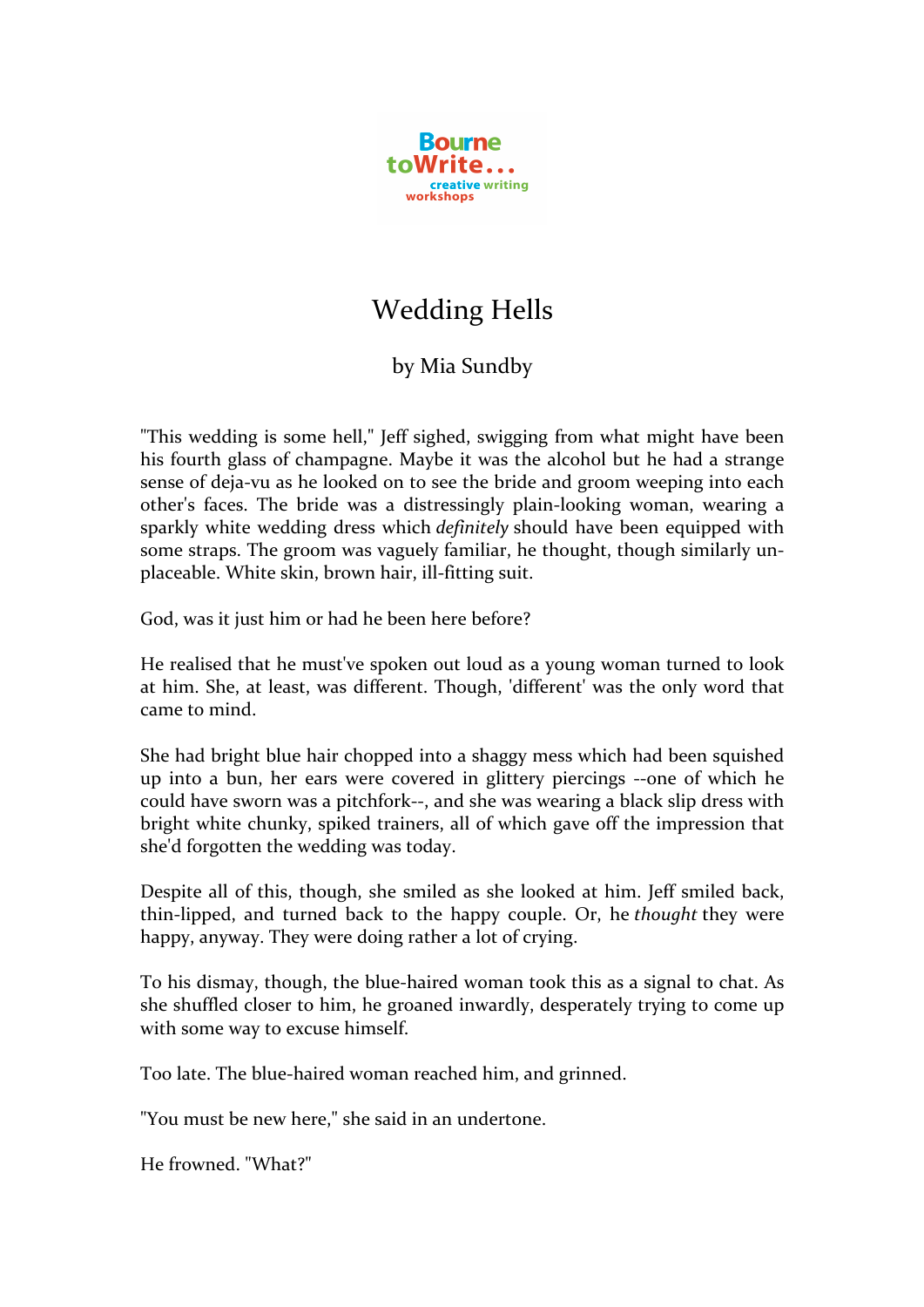

## Wedding Hells

## by Mia Sundby

"This wedding is some hell," Jeff sighed, swigging from what might have been his fourth glass of champagne. Maybe it was the alcohol but he had a strange sense of deja-vu as he looked on to see the bride and groom weeping into each other's faces. The bride was a distressingly plain-looking woman, wearing a sparkly white wedding dress which *definitely* should have been equipped with some straps. The groom was vaguely familiar, he thought, though similarly unplaceable. White skin, brown hair, ill-fitting suit.

God, was it just him or had he been here before?

He realised that he must've spoken out loud as a young woman turned to look at him. She, at least, was different. Though, 'different' was the only word that came to mind.

She had bright blue hair chopped into a shaggy mess which had been squished up into a bun, her ears were covered in glittery piercings --one of which he could have sworn was a pitchfork--, and she was wearing a black slip dress with bright white chunky, spiked trainers, all of which gave off the impression that she'd forgotten the wedding was today.

Despite all of this, though, she smiled as she looked at him. Jeff smiled back, thin-lipped, and turned back to the happy couple. Or, he *thought* they were happy, anyway. They were doing rather a lot of crying.

To his dismay, though, the blue-haired woman took this as a signal to chat. As she shuffled closer to him, he groaned inwardly, desperately trying to come up with some way to excuse himself.

Too late. The blue-haired woman reached him, and grinned.

"You must be new here," she said in an undertone.

He frowned "What?"